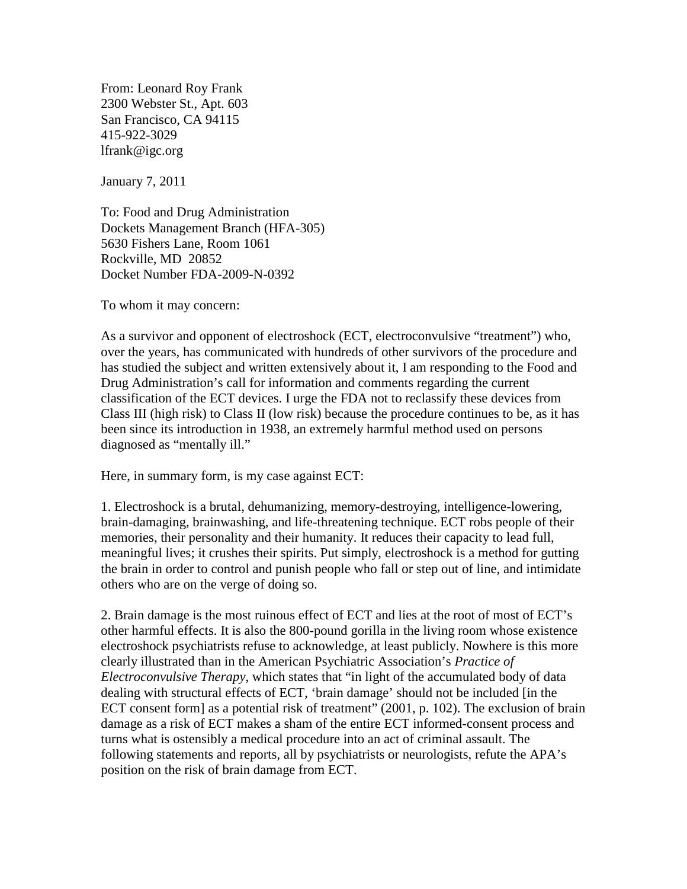From: Leonard Roy Frank 2300 Webster St., Apt. 603 San Francisco, CA 94115 415-922-3029 lfrank@igc.org

January 7, 2011

To: Food and Drug Administration Dockets Management Branch (HFA-305) 5630 Fishers Lane, Room 1061 Rockville, MD 20852 Docket Number FDA-2009-N-0392

To whom it may concern:

As a survivor and opponent of electroshock (ECT, electroconvulsive "treatment") who, over the years, has communicated with hundreds of other survivors of the procedure and has studied the subject and written extensively about it, I am responding to the Food and Drug Administration's call for information and comments regarding the current classification of the ECT devices. I urge the FDA not to reclassify these devices from Class III (high risk) to Class II (low risk) because the procedure continues to be, as it has been since its introduction in 1938, an extremely harmful method used on persons diagnosed as "mentally ill."

Here, in summary form, is my case against ECT:

1. Electroshock is a brutal, dehumanizing, memory-destroying, intelligence-lowering, brain-damaging, brainwashing, and life-threatening technique. ECT robs people of their memories, their personality and their humanity. It reduces their capacity to lead full, meaningful lives; it crushes their spirits. Put simply, electroshock is a method for gutting the brain in order to control and punish people who fall or step out of line, and intimidate others who are on the verge of doing so.

2. Brain damage is the most ruinous effect of ECT and lies at the root of most of ECT's other harmful effects. It is also the 800-pound gorilla in the living room whose existence electroshock psychiatrists refuse to acknowledge, at least publicly. Nowhere is this more clearly illustrated than in the American Psychiatric Association's *Practice of Electroconvulsive Therapy*, which states that "in light of the accumulated body of data dealing with structural effects of ECT, 'brain damage' should not be included [in the ECT consent form] as a potential risk of treatment" (2001, p. 102). The exclusion of brain damage as a risk of ECT makes a sham of the entire ECT informed-consent process and turns what is ostensibly a medical procedure into an act of criminal assault. The following statements and reports, all by psychiatrists or neurologists, refute the APA's position on the risk of brain damage from ECT.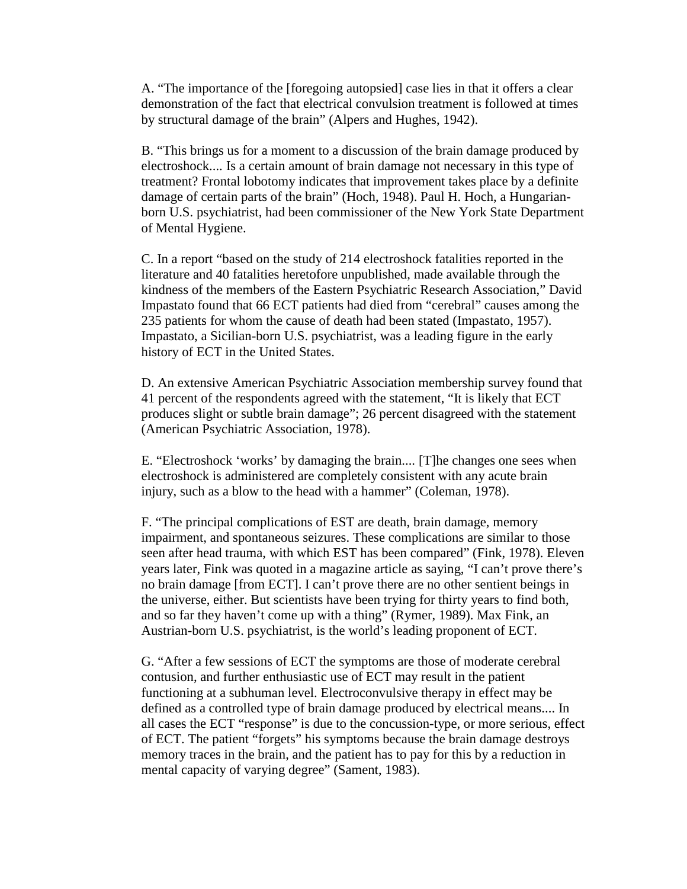A. "The importance of the [foregoing autopsied] case lies in that it offers a clear demonstration of the fact that electrical convulsion treatment is followed at times by structural damage of the brain" (Alpers and Hughes, 1942).

B. "This brings us for a moment to a discussion of the brain damage produced by electroshock.... Is a certain amount of brain damage not necessary in this type of treatment? Frontal lobotomy indicates that improvement takes place by a definite damage of certain parts of the brain" (Hoch, 1948). Paul H. Hoch, a Hungarianborn U.S. psychiatrist, had been commissioner of the New York State Department of Mental Hygiene.

C. In a report "based on the study of 214 electroshock fatalities reported in the literature and 40 fatalities heretofore unpublished, made available through the kindness of the members of the Eastern Psychiatric Research Association," David Impastato found that 66 ECT patients had died from "cerebral" causes among the 235 patients for whom the cause of death had been stated (Impastato, 1957). Impastato, a Sicilian-born U.S. psychiatrist, was a leading figure in the early history of ECT in the United States.

D. An extensive American Psychiatric Association membership survey found that 41 percent of the respondents agreed with the statement, "It is likely that ECT produces slight or subtle brain damage"; 26 percent disagreed with the statement (American Psychiatric Association, 1978).

E. "Electroshock 'works' by damaging the brain.... [T]he changes one sees when electroshock is administered are completely consistent with any acute brain injury, such as a blow to the head with a hammer" (Coleman, 1978).

F. "The principal complications of EST are death, brain damage, memory impairment, and spontaneous seizures. These complications are similar to those seen after head trauma, with which EST has been compared" (Fink, 1978). Eleven years later, Fink was quoted in a magazine article as saying, "I can't prove there's no brain damage [from ECT]. I can't prove there are no other sentient beings in the universe, either. But scientists have been trying for thirty years to find both, and so far they haven't come up with a thing" (Rymer, 1989). Max Fink, an Austrian-born U.S. psychiatrist, is the world's leading proponent of ECT.

G. "After a few sessions of ECT the symptoms are those of moderate cerebral contusion, and further enthusiastic use of ECT may result in the patient functioning at a subhuman level. Electroconvulsive therapy in effect may be defined as a controlled type of brain damage produced by electrical means.... In all cases the ECT "response" is due to the concussion-type, or more serious, effect of ECT. The patient "forgets" his symptoms because the brain damage destroys memory traces in the brain, and the patient has to pay for this by a reduction in mental capacity of varying degree" (Sament, 1983).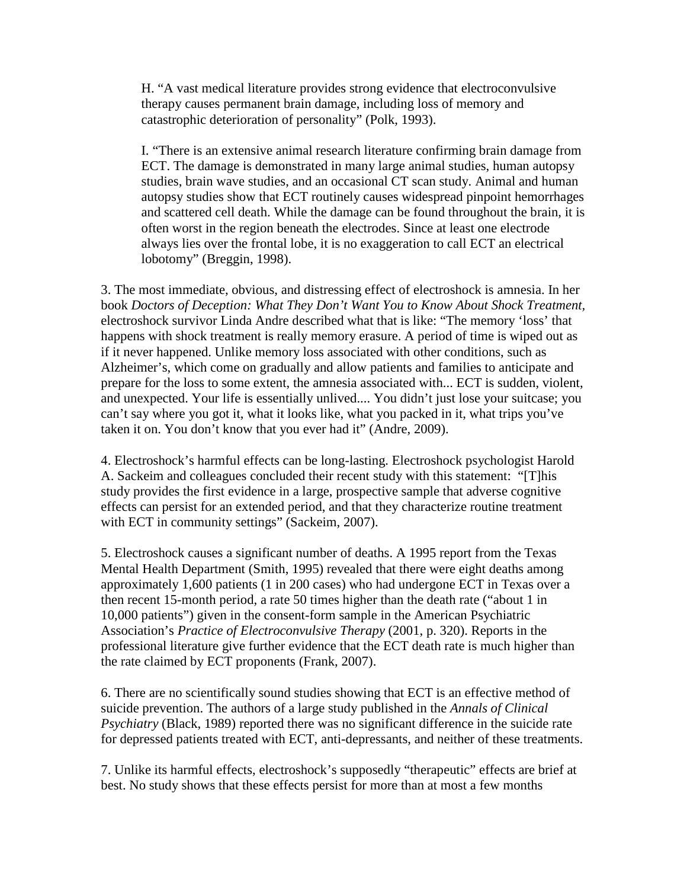H. "A vast medical literature provides strong evidence that electroconvulsive therapy causes permanent brain damage, including loss of memory and catastrophic deterioration of personality" (Polk, 1993).

I. "There is an extensive animal research literature confirming brain damage from ECT. The damage is demonstrated in many large animal studies, human autopsy studies, brain wave studies, and an occasional CT scan study. Animal and human autopsy studies show that ECT routinely causes widespread pinpoint hemorrhages and scattered cell death. While the damage can be found throughout the brain, it is often worst in the region beneath the electrodes. Since at least one electrode always lies over the frontal lobe, it is no exaggeration to call ECT an electrical lobotomy" (Breggin, 1998).

3. The most immediate, obvious, and distressing effect of electroshock is amnesia. In her book *Doctors of Deception: What They Don't Want You to Know About Shock Treatment,*  electroshock survivor Linda Andre described what that is like: "The memory 'loss' that happens with shock treatment is really memory erasure. A period of time is wiped out as if it never happened. Unlike memory loss associated with other conditions, such as Alzheimer's, which come on gradually and allow patients and families to anticipate and prepare for the loss to some extent, the amnesia associated with... ECT is sudden, violent, and unexpected. Your life is essentially unlived.... You didn't just lose your suitcase; you can't say where you got it, what it looks like, what you packed in it, what trips you've taken it on. You don't know that you ever had it" (Andre, 2009).

4. Electroshock's harmful effects can be long-lasting. Electroshock psychologist Harold A. Sackeim and colleagues concluded their recent study with this statement: "[T]his study provides the first evidence in a large, prospective sample that adverse cognitive effects can persist for an extended period, and that they characterize routine treatment with ECT in community settings" (Sackeim, 2007).

5. Electroshock causes a significant number of deaths. A 1995 report from the Texas Mental Health Department (Smith, 1995) revealed that there were eight deaths among approximately 1,600 patients (1 in 200 cases) who had undergone ECT in Texas over a then recent 15-month period, a rate 50 times higher than the death rate ("about 1 in 10,000 patients") given in the consent-form sample in the American Psychiatric Association's *Practice of Electroconvulsive Therapy* (2001, p. 320). Reports in the professional literature give further evidence that the ECT death rate is much higher than the rate claimed by ECT proponents (Frank, 2007).

6. There are no scientifically sound studies showing that ECT is an effective method of suicide prevention. The authors of a large study published in the *Annals of Clinical Psychiatry* (Black, 1989) reported there was no significant difference in the suicide rate for depressed patients treated with ECT, anti-depressants, and neither of these treatments.

7. Unlike its harmful effects, electroshock's supposedly "therapeutic" effects are brief at best. No study shows that these effects persist for more than at most a few months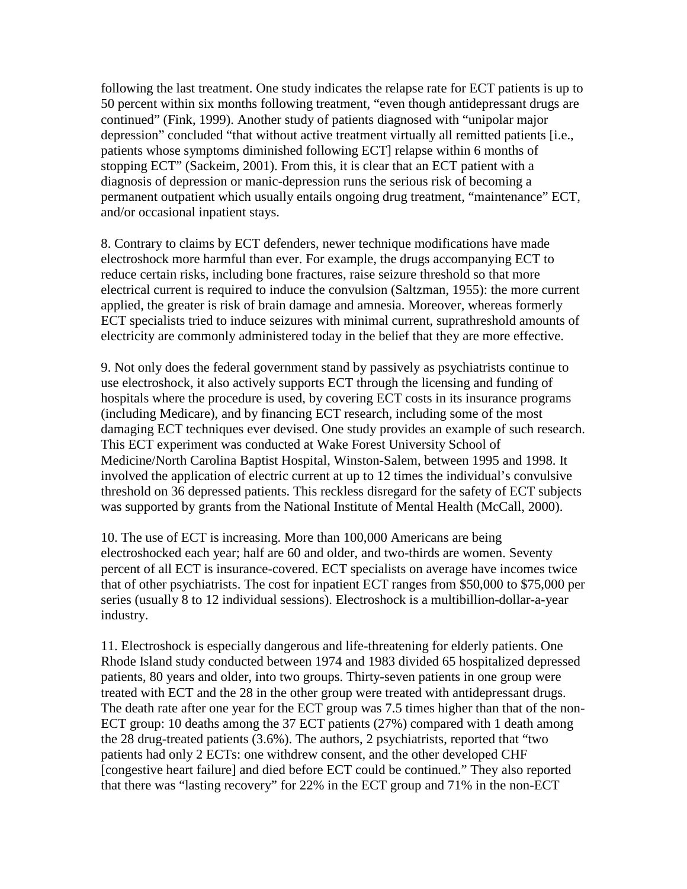following the last treatment. One study indicates the relapse rate for ECT patients is up to 50 percent within six months following treatment, "even though antidepressant drugs are continued" (Fink, 1999). Another study of patients diagnosed with "unipolar major depression" concluded "that without active treatment virtually all remitted patients [i.e., patients whose symptoms diminished following ECT] relapse within 6 months of stopping ECT" (Sackeim, 2001). From this, it is clear that an ECT patient with a diagnosis of depression or manic-depression runs the serious risk of becoming a permanent outpatient which usually entails ongoing drug treatment, "maintenance" ECT, and/or occasional inpatient stays.

8. Contrary to claims by ECT defenders, newer technique modifications have made electroshock more harmful than ever. For example, the drugs accompanying ECT to reduce certain risks, including bone fractures, raise seizure threshold so that more electrical current is required to induce the convulsion (Saltzman, 1955): the more current applied, the greater is risk of brain damage and amnesia. Moreover, whereas formerly ECT specialists tried to induce seizures with minimal current, suprathreshold amounts of electricity are commonly administered today in the belief that they are more effective.

9. Not only does the federal government stand by passively as psychiatrists continue to use electroshock, it also actively supports ECT through the licensing and funding of hospitals where the procedure is used, by covering ECT costs in its insurance programs (including Medicare), and by financing ECT research, including some of the most damaging ECT techniques ever devised. One study provides an example of such research. This ECT experiment was conducted at Wake Forest University School of Medicine/North Carolina Baptist Hospital, Winston-Salem, between 1995 and 1998. It involved the application of electric current at up to 12 times the individual's convulsive threshold on 36 depressed patients. This reckless disregard for the safety of ECT subjects was supported by grants from the National Institute of Mental Health (McCall, 2000).

10. The use of ECT is increasing. More than 100,000 Americans are being electroshocked each year; half are 60 and older, and two-thirds are women. Seventy percent of all ECT is insurance-covered. ECT specialists on average have incomes twice that of other psychiatrists. The cost for inpatient ECT ranges from \$50,000 to \$75,000 per series (usually 8 to 12 individual sessions). Electroshock is a multibillion-dollar-a-year industry.

11. Electroshock is especially dangerous and life-threatening for elderly patients. One Rhode Island study conducted between 1974 and 1983 divided 65 hospitalized depressed patients, 80 years and older, into two groups. Thirty-seven patients in one group were treated with ECT and the 28 in the other group were treated with antidepressant drugs. The death rate after one year for the ECT group was 7.5 times higher than that of the non-ECT group: 10 deaths among the 37 ECT patients (27%) compared with 1 death among the 28 drug-treated patients (3.6%). The authors, 2 psychiatrists, reported that "two patients had only 2 ECTs: one withdrew consent, and the other developed CHF [congestive heart failure] and died before ECT could be continued." They also reported that there was "lasting recovery" for 22% in the ECT group and 71% in the non-ECT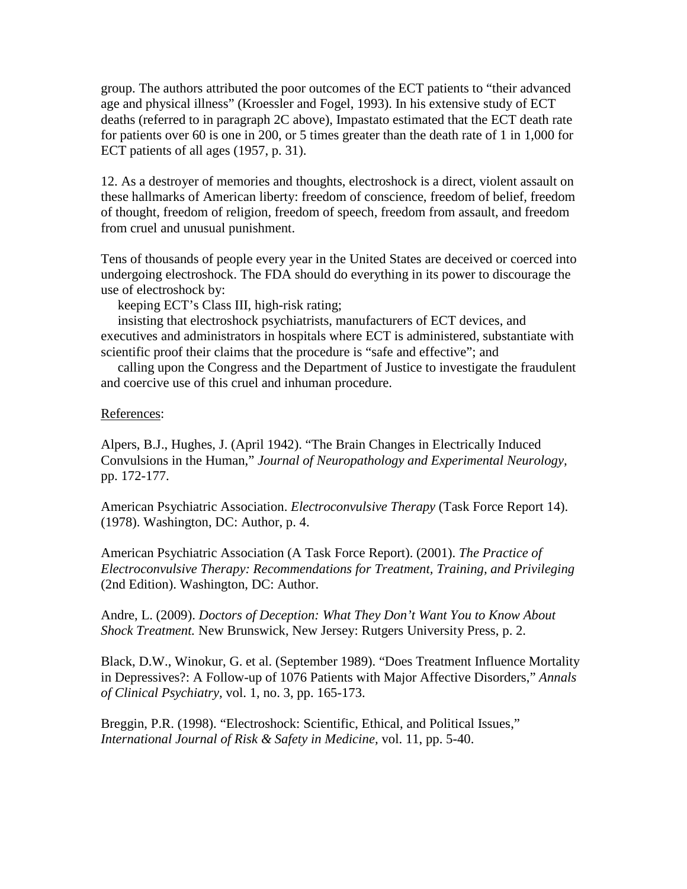group. The authors attributed the poor outcomes of the ECT patients to "their advanced age and physical illness" (Kroessler and Fogel, 1993). In his extensive study of ECT deaths (referred to in paragraph 2C above), Impastato estimated that the ECT death rate for patients over 60 is one in 200, or 5 times greater than the death rate of 1 in 1,000 for ECT patients of all ages (1957, p. 31).

12. As a destroyer of memories and thoughts, electroshock is a direct, violent assault on these hallmarks of American liberty: freedom of conscience, freedom of belief, freedom of thought, freedom of religion, freedom of speech, freedom from assault, and freedom from cruel and unusual punishment.

Tens of thousands of people every year in the United States are deceived or coerced into undergoing electroshock. The FDA should do everything in its power to discourage the use of electroshock by:

keeping ECT's Class III, high-risk rating;

 insisting that electroshock psychiatrists, manufacturers of ECT devices, and executives and administrators in hospitals where ECT is administered, substantiate with scientific proof their claims that the procedure is "safe and effective"; and

 calling upon the Congress and the Department of Justice to investigate the fraudulent and coercive use of this cruel and inhuman procedure.

## References:

Alpers, B.J., Hughes, J. (April 1942). "The Brain Changes in Electrically Induced Convulsions in the Human," *Journal of Neuropathology and Experimental Neurology,*  pp. 172-177.

American Psychiatric Association. *Electroconvulsive Therapy* (Task Force Report 14). (1978). Washington, DC: Author, p. 4.

American Psychiatric Association (A Task Force Report). (2001). *The Practice of Electroconvulsive Therapy: Recommendations for Treatment, Training, and Privileging*  (2nd Edition). Washington, DC: Author.

Andre, L. (2009). *Doctors of Deception: What They Don't Want You to Know About Shock Treatment.* New Brunswick, New Jersey: Rutgers University Press, p. 2.

Black, D.W., Winokur, G. et al. (September 1989). "Does Treatment Influence Mortality in Depressives?: A Follow-up of 1076 Patients with Major Affective Disorders," *Annals of Clinical Psychiatry,* vol. 1, no. 3, pp. 165-173.

Breggin, P.R. (1998). "Electroshock: Scientific, Ethical, and Political Issues," *International Journal of Risk & Safety in Medicine,* vol. 11, pp. 5-40.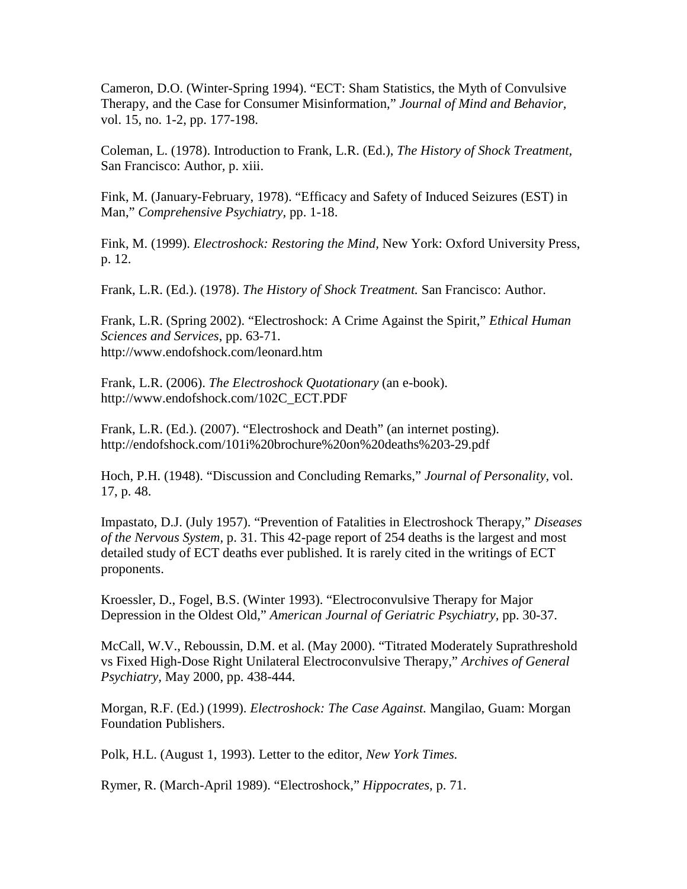Cameron, D.O. (Winter-Spring 1994). "ECT: Sham Statistics, the Myth of Convulsive Therapy, and the Case for Consumer Misinformation," *Journal of Mind and Behavior,* vol. 15, no. 1-2, pp. 177-198.

Coleman, L. (1978). Introduction to Frank, L.R. (Ed.), *The History of Shock Treatment,*  San Francisco: Author*,* p. xiii.

Fink, M. (January-February, 1978). "Efficacy and Safety of Induced Seizures (EST) in Man," *Comprehensive Psychiatry,* pp. 1-18.

Fink, M. (1999). *Electroshock: Restoring the Mind,* New York: Oxford University Press, p. 12.

Frank, L.R. (Ed.). (1978). *The History of Shock Treatment.* San Francisco: Author.

Frank, L.R. (Spring 2002). "Electroshock: A Crime Against the Spirit," *Ethical Human Sciences and Services*, pp. 63-71. http://www.endofshock.com/leonard.htm

Frank, L.R. (2006). *The Electroshock Quotationary* (an e-book). http://ww[w.endofshock.com/102C\\_ECT.PDF](http://www.endofshock.com/102C_ECT.PDF)

Frank, L.R. (Ed.). (2007). "Electroshock and Death" (an internet posting). <http://endofshock.com/101i%20brochure%20on%20deaths%203-29.pdf>

Hoch, P.H. (1948). "Discussion and Concluding Remarks," *Journal of Personality,* vol. 17, p. 48.

Impastato, D.J. (July 1957). "Prevention of Fatalities in Electroshock Therapy," *Diseases of the Nervous System,* p. 31. This 42-page report of 254 deaths is the largest and most detailed study of ECT deaths ever published. It is rarely cited in the writings of ECT proponents.

Kroessler, D., Fogel, B.S. (Winter 1993). "Electroconvulsive Therapy for Major Depression in the Oldest Old," *American Journal of Geriatric Psychiatry,* pp. 30-37.

McCall, W.V., Reboussin, D.M. et al. (May 2000). "Titrated Moderately Suprathreshold vs Fixed High-Dose Right Unilateral Electroconvulsive Therapy," *Archives of General Psychiatry,* May 2000, pp. 438-444.

Morgan, R.F. (Ed.) (1999). *Electroshock: The Case Against.* Mangilao, Guam: Morgan Foundation Publishers.

Polk, H.L. (August 1, 1993). Letter to the editor, *New York Times.*

Rymer, R. (March-April 1989). "Electroshock," *Hippocrates,* p. 71.